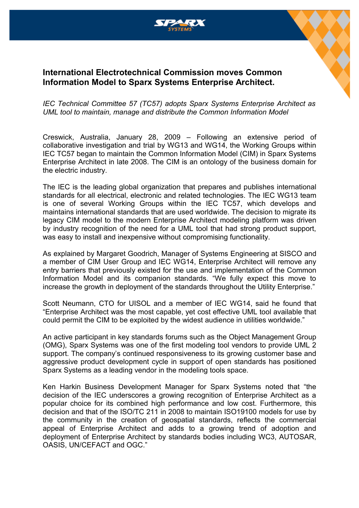

## **International Electrotechnical Commission moves Common Information Model to Sparx Systems Enterprise Architect.**

*IEC Technical Committee 57 (TC57) adopts Sparx Systems Enterprise Architect as UML tool to maintain, manage and distribute the Common Information Model*

Creswick, Australia, January 28, 2009 – Following an extensive period of collaborative investigation and trial by WG13 and WG14, the Working Groups within IEC TC57 began to maintain the Common Information Model (CIM) in Sparx Systems Enterprise Architect in late 2008. The CIM is an ontology of the business domain for the electric industry.

The IEC is the leading global organization that prepares and publishes international standards for all electrical, electronic and related technologies. The IEC WG13 team is one of several Working Groups within the IEC TC57, which develops and maintains international standards that are used worldwide. The decision to migrate its legacy CIM model to the modern Enterprise Architect modeling platform was driven by industry recognition of the need for a UML tool that had strong product support, was easy to install and inexpensive without compromising functionality.

As explained by Margaret Goodrich, Manager of Systems Engineering at SISCO and a member of CIM User Group and IEC WG14, Enterprise Architect will remove any entry barriers that previously existed for the use and implementation of the Common Information Model and its companion standards. "We fully expect this move to increase the growth in deployment of the standards throughout the Utility Enterprise."

Scott Neumann, CTO for UISOL and a member of IEC WG14, said he found that "Enterprise Architect was the most capable, yet cost effective UML tool available that could permit the CIM to be exploited by the widest audience in utilities worldwide."

An active participant in key standards forums such as the Object Management Group (OMG), Sparx Systems was one of the first modeling tool vendors to provide UML 2 support. The company's continued responsiveness to its growing customer base and aggressive product development cycle in support of open standards has positioned Sparx Systems as a leading vendor in the modeling tools space.

Ken Harkin Business Development Manager for Sparx Systems noted that "the decision of the IEC underscores a growing recognition of Enterprise Architect as a popular choice for its combined high performance and low cost. Furthermore, this decision and that of the ISO/TC 211 in 2008 to maintain ISO19100 models for use by the community in the creation of geospatial standards, reflects the commercial appeal of Enterprise Architect and adds to a growing trend of adoption and deployment of Enterprise Architect by standards bodies including WC3, AUTOSAR, OASIS, UN/CEFACT and OGC."